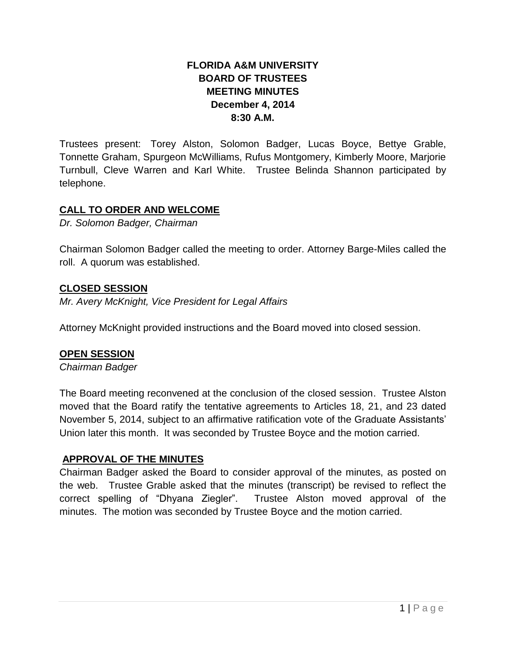# **FLORIDA A&M UNIVERSITY BOARD OF TRUSTEES MEETING MINUTES December 4, 2014 8:30 A.M.**

Trustees present: Torey Alston, Solomon Badger, Lucas Boyce, Bettye Grable, Tonnette Graham, Spurgeon McWilliams, Rufus Montgomery, Kimberly Moore, Marjorie Turnbull, Cleve Warren and Karl White. Trustee Belinda Shannon participated by telephone.

# **CALL TO ORDER AND WELCOME**

*Dr. Solomon Badger, Chairman*

Chairman Solomon Badger called the meeting to order. Attorney Barge-Miles called the roll. A quorum was established.

# **CLOSED SESSION**

*Mr. Avery McKnight, Vice President for Legal Affairs*

Attorney McKnight provided instructions and the Board moved into closed session.

# **OPEN SESSION**

*Chairman Badger*

The Board meeting reconvened at the conclusion of the closed session. Trustee Alston moved that the Board ratify the tentative agreements to Articles 18, 21, and 23 dated November 5, 2014, subject to an affirmative ratification vote of the Graduate Assistants' Union later this month. It was seconded by Trustee Boyce and the motion carried.

# **APPROVAL OF THE MINUTES**

Chairman Badger asked the Board to consider approval of the minutes, as posted on the web. Trustee Grable asked that the minutes (transcript) be revised to reflect the correct spelling of "Dhyana Ziegler". Trustee Alston moved approval of the minutes. The motion was seconded by Trustee Boyce and the motion carried.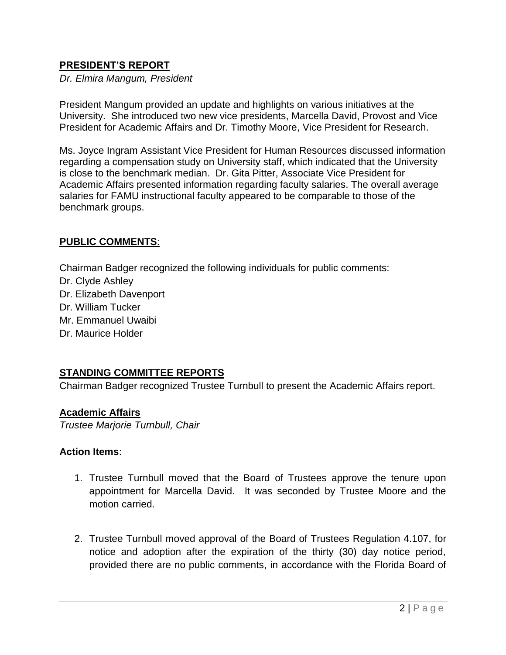# **PRESIDENT'S REPORT**

*Dr. Elmira Mangum, President*

President Mangum provided an update and highlights on various initiatives at the University. She introduced two new vice presidents, Marcella David, Provost and Vice President for Academic Affairs and Dr. Timothy Moore, Vice President for Research.

Ms. Joyce Ingram Assistant Vice President for Human Resources discussed information regarding a compensation study on University staff, which indicated that the University is close to the benchmark median. Dr. Gita Pitter, Associate Vice President for Academic Affairs presented information regarding faculty salaries. The overall average salaries for FAMU instructional faculty appeared to be comparable to those of the benchmark groups.

# **PUBLIC COMMENTS**:

Chairman Badger recognized the following individuals for public comments: Dr. Clyde Ashley Dr. Elizabeth Davenport Dr. William Tucker Mr. Emmanuel Uwaibi Dr. Maurice Holder

# **STANDING COMMITTEE REPORTS**

Chairman Badger recognized Trustee Turnbull to present the Academic Affairs report.

#### **Academic Affairs**

*Trustee Marjorie Turnbull, Chair*

#### **Action Items**:

- 1. Trustee Turnbull moved that the Board of Trustees approve the tenure upon appointment for Marcella David. It was seconded by Trustee Moore and the motion carried.
- 2. Trustee Turnbull moved approval of the Board of Trustees Regulation 4.107, for notice and adoption after the expiration of the thirty (30) day notice period, provided there are no public comments, in accordance with the Florida Board of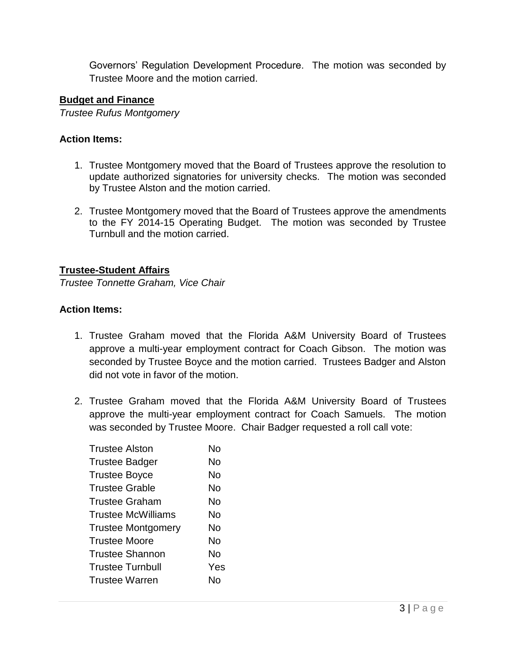Governors' Regulation Development Procedure. The motion was seconded by Trustee Moore and the motion carried.

### **Budget and Finance**

*Trustee Rufus Montgomery*

#### **Action Items:**

- 1. Trustee Montgomery moved that the Board of Trustees approve the resolution to update authorized signatories for university checks. The motion was seconded by Trustee Alston and the motion carried.
- 2. Trustee Montgomery moved that the Board of Trustees approve the amendments to the FY 2014-15 Operating Budget. The motion was seconded by Trustee Turnbull and the motion carried.

### **Trustee-Student Affairs**

*Trustee Tonnette Graham, Vice Chair*

### **Action Items:**

- 1. Trustee Graham moved that the Florida A&M University Board of Trustees approve a multi-year employment contract for Coach Gibson. The motion was seconded by Trustee Boyce and the motion carried. Trustees Badger and Alston did not vote in favor of the motion.
- 2. Trustee Graham moved that the Florida A&M University Board of Trustees approve the multi-year employment contract for Coach Samuels. The motion was seconded by Trustee Moore. Chair Badger requested a roll call vote:

| <b>Trustee Alston</b>     | N٥  |
|---------------------------|-----|
| <b>Trustee Badger</b>     | N٥  |
| <b>Trustee Boyce</b>      | N٥  |
| <b>Trustee Grable</b>     | No  |
| Trustee Graham            | No  |
| Trustee McWilliams        | N٥  |
| <b>Trustee Montgomery</b> | No  |
| <b>Trustee Moore</b>      | No  |
| <b>Trustee Shannon</b>    | No  |
| <b>Trustee Turnbull</b>   | Yes |
| <b>Trustee Warren</b>     | N٥  |
|                           |     |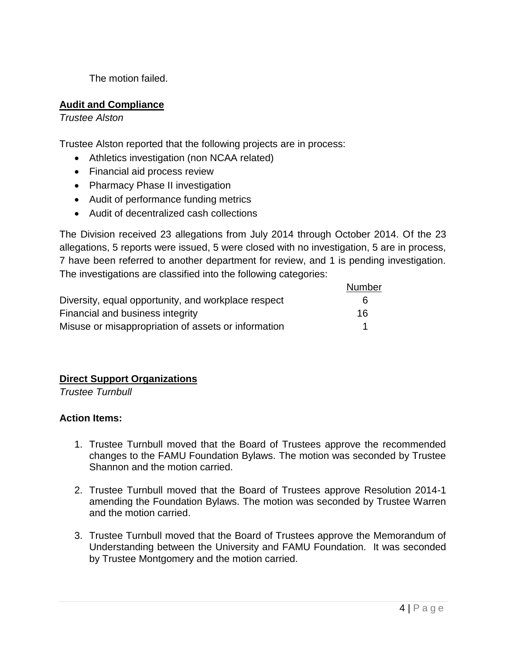The motion failed.

# **Audit and Compliance**

*Trustee Alston*

Trustee Alston reported that the following projects are in process:

- Athletics investigation (non NCAA related)
- Financial aid process review
- Pharmacy Phase II investigation
- Audit of performance funding metrics
- Audit of decentralized cash collections

The Division received 23 allegations from July 2014 through October 2014. Of the 23 allegations, 5 reports were issued, 5 were closed with no investigation, 5 are in process, 7 have been referred to another department for review, and 1 is pending investigation. The investigations are classified into the following categories:

|                                                     | Number |
|-----------------------------------------------------|--------|
| Diversity, equal opportunity, and workplace respect | 6      |
| Financial and business integrity                    | 16     |
| Misuse or misappropriation of assets or information |        |

# **Direct Support Organizations**

*Trustee Turnbull*

# **Action Items:**

- 1. Trustee Turnbull moved that the Board of Trustees approve the recommended changes to the FAMU Foundation Bylaws. The motion was seconded by Trustee Shannon and the motion carried.
- 2. Trustee Turnbull moved that the Board of Trustees approve Resolution 2014-1 amending the Foundation Bylaws. The motion was seconded by Trustee Warren and the motion carried.
- 3. Trustee Turnbull moved that the Board of Trustees approve the Memorandum of Understanding between the University and FAMU Foundation. It was seconded by Trustee Montgomery and the motion carried.